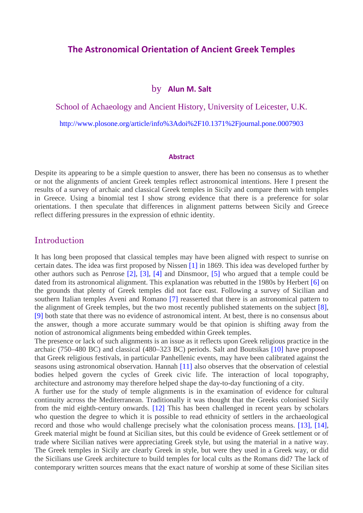### **The Astronomical Orientation of Ancient Greek Temples**

#### by **Alun M. Salt**

School of Achaeology and Ancient History, University of Leicester, U.K.

http://www.plosone.org/article/info%3Adoi%2F10.1371%2Fjournal.pone.0007903

#### **Abstract**

Despite its appearing to be a simple question to answer, there has been no consensus as to whether or not the alignments of ancient Greek temples reflect astronomical intentions. Here I present the results of a survey of archaic and classical Greek temples in Sicily and compare them with temples in Greece. Using a binomial test I show strong evidence that there is a preference for solar orientations. I then speculate that differences in alignment patterns between Sicily and Greece reflect differing pressures in the expression of ethnic identity.

#### Introduction

It has long been proposed that classical temples may have been aligned with respect to sunrise on certain dates. The idea was first proposed by Nissen [1] in 1869. This idea was developed further by other authors such as Penrose [2], [3], [4] and Dinsmoor, [5] who argued that a temple could be dated from its astronomical alignment. This explanation was rebutted in the 1980s by Herbert [6] on the grounds that plenty of Greek temples did not face east. Following a survey of Sicilian and southern Italian temples Aveni and Romano [7] reasserted that there is an astronomical pattern to the alignment of Greek temples, but the two most recently published statements on the subject [8], [9] both state that there was no evidence of astronomical intent. At best, there is no consensus about the answer, though a more accurate summary would be that opinion is shifting away from the notion of astronomical alignments being embedded within Greek temples.

The presence or lack of such alignments is an issue as it reflects upon Greek religious practice in the archaic (750–480 BC) and classical (480–323 BC) periods. Salt and Boutsikas [10] have proposed that Greek religious festivals, in particular Panhellenic events, may have been calibrated against the seasons using astronomical observation. Hannah [11] also observes that the observation of celestial bodies helped govern the cycles of Greek civic life. The interaction of local topography, architecture and astronomy may therefore helped shape the day-to-day functioning of a city.

A further use for the study of temple alignments is in the examination of evidence for cultural continuity across the Mediterranean. Traditionally it was thought that the Greeks colonised Sicily from the mid eighth-century onwards. [12] This has been challenged in recent years by scholars who question the degree to which it is possible to read ethnicity of settlers in the archaeological record and those who would challenge precisely what the colonisation process means. [13], [14], Greek material might be found at Sicilian sites, but this could be evidence of Greek settlement or of trade where Sicilian natives were appreciating Greek style, but using the material in a native way. The Greek temples in Sicily are clearly Greek in style, but were they used in a Greek way, or did the Sicilians use Greek architecture to build temples for local cults as the Romans did? The lack of contemporary written sources means that the exact nature of worship at some of these Sicilian sites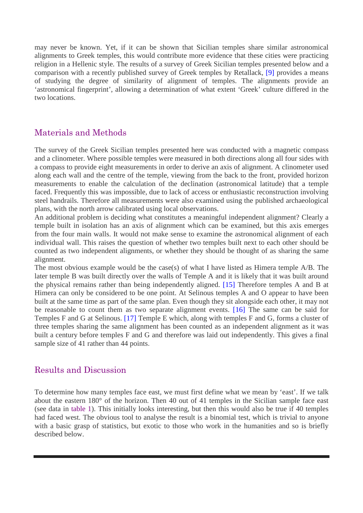may never be known. Yet, if it can be shown that Sicilian temples share similar astronomical alignments to Greek temples, this would contribute more evidence that these cities were practicing religion in a Hellenic style. The results of a survey of Greek Sicilian temples presented below and a comparison with a recently published survey of Greek temples by Retallack, [9] provides a means of studying the degree of similarity of alignment of temples. The alignments provide an 'astronomical fingerprint', allowing a determination of what extent 'Greek' culture differed in the two locations.

## Materials and Methods

The survey of the Greek Sicilian temples presented here was conducted with a magnetic compass and a clinometer. Where possible temples were measured in both directions along all four sides with a compass to provide eight measurements in order to derive an axis of alignment. A clinometer used along each wall and the centre of the temple, viewing from the back to the front, provided horizon measurements to enable the calculation of the declination (astronomical latitude) that a temple faced. Frequently this was impossible, due to lack of access or enthusiastic reconstruction involving steel handrails. Therefore all measurements were also examined using the published archaeological plans, with the north arrow calibrated using local observations.

An additional problem is deciding what constitutes a meaningful independent alignment? Clearly a temple built in isolation has an axis of alignment which can be examined, but this axis emerges from the four main walls. It would not make sense to examine the astronomical alignment of each individual wall. This raises the question of whether two temples built next to each other should be counted as two independent alignments, or whether they should be thought of as sharing the same alignment.

The most obvious example would be the case(s) of what I have listed as Himera temple A/B. The later temple B was built directly over the walls of Temple A and it is likely that it was built around the physical remains rather than being independently aligned. [15] Therefore temples A and B at Himera can only be considered to be one point. At Selinous temples A and O appear to have been built at the same time as part of the same plan. Even though they sit alongside each other, it may not be reasonable to count them as two separate alignment events. [16] The same can be said for Temples F and G at Selinous. [17] Temple E which, along with temples F and G, forms a cluster of three temples sharing the same alignment has been counted as an independent alignment as it was built a century before temples F and G and therefore was laid out independently. This gives a final sample size of 41 rather than 44 points.

## Results and Discussion

To determine how many temples face east, we must first define what we mean by 'east'. If we talk about the eastern 180° of the horizon. Then 40 out of 41 temples in the Sicilian sample face east (see data in table 1). This initially looks interesting, but then this would also be true if 40 temples had faced west. The obvious tool to analyse the result is a binomial test, which is trivial to anyone with a basic grasp of statistics, but exotic to those who work in the humanities and so is briefly described below.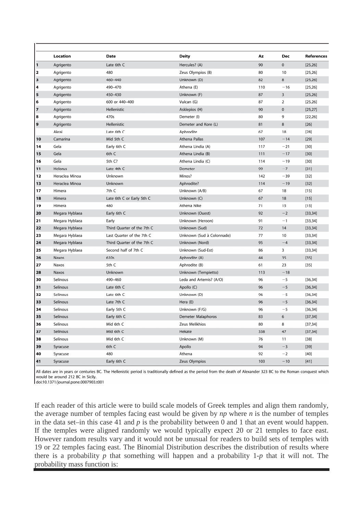|                | Location       | Date                       | <b>Deity</b>              | Az  | Dec            | References |
|----------------|----------------|----------------------------|---------------------------|-----|----------------|------------|
| 1              | Agrigento      | Late 6th C                 | Hercules? (A)             | 90  | $\mathbf 0$    | [25, 26]   |
| 2              | Agrigento      | 480                        | Zeus Olympios (B)         | 80  | 10             | [25, 26]   |
| з              | Agrigento      | 460-440                    | Unknown (D)               | 82  | 8              | [25, 26]   |
| 4              | Agrigento      | 490-470                    | Athena (E)                | 110 | $-16$          | [25, 26]   |
| 5              | Agrigento      | 450-430                    | Unknown (F)               | 87  | 3              | [25, 26]   |
| 6              | Agrigento      | 600 or 440-400             | Vulcan (G)                | 87  | $\overline{2}$ | [25, 26]   |
| $\overline{ }$ | Agrigento      | <b>Hellenistic</b>         | Asklepios (H)             | 90  | $\pmb{0}$      | [25, 27]   |
| 8              | Agrigento      | 470s                       | Demeter (I)               | 80  | 9              | [22, 26]   |
| 9              | Agrigento      | Hellenistic                | Demeter and Kore (L)      | 81  | 8              | $[26]$     |
|                | Akrai          | Late 6th C                 | Aphrodite                 | 67  | 18             | $[28]$     |
| 10             | Camarina       | Mid 5th C                  | Athena Pallas             | 107 | $-14$          | $[29]$     |
| 14             | Gela           | Early 6th C                | Athena Lindia (A)         | 117 | $-21$          | $[30]$     |
| 15             | Gela           | 6th C                      | Athena Lindia (B)         | 111 | $-17$          | $[30]$     |
| 16             | Gela           | 5th C?                     | Athena Lindia (C)         | 114 | $-19$          | $[30]$     |
| 11             | Helorus        | Late 4th C                 | Demeter                   | 99  | $-7$           | $[31]$     |
| 12             | Heraclea Minoa | Unknown                    | Minos?                    | 142 | $-39$          | $[32]$     |
| 13             | Heraclea Minoa | Unknown                    | Aphrodite?                | 114 | $-19$          | $[32]$     |
| 17             | Himera         | 7th C                      | Unknown (A/B)             | 67  | 18             | $[15]$     |
| 18             | Himera         | Late 6th C or Early 5th C  | Unknown (C)               | 67  | 18             | $[15]$     |
| 19             | Himera         | 480                        | Athena Nike               | 71  | 15             | $[15]$     |
| 20             | Megara Hyblaea | Early 6th C                | Unknown (Ouest)           | 92  | $-2$           | [33, 34]   |
| 21             | Megara Hyblaea | Early                      | Unknown (Heroon)          | 91  | $-1$           | [33, 34]   |
| 22             | Megara Hyblaea | Third Quarter of the 7th C | Unknown (Sud)             | 72  | 14             | [33, 34]   |
| 23             | Megara Hyblaea | Last Quarter of the 7th C  | Unknown (Sud à Colonnade) | 77  | 10             | [33, 34]   |
| 24             | Megara Hyblaea | Third Quarter of the 7th C | Unknown (Nord)            | 95  | $-4$           | [33, 34]   |
| 25             | Megara Hyblaea | Second half of 7th C       | Unknown (Sud-Est)         | 86  | 3              | [33, 34]   |
| 26             | Naxos          | 610s                       | Aphrodite (A)             | 44  | 35             | $[35]$     |
| 27             | Naxos          | 5th C                      | Aphrodite (B)             | 61  | 23             | $[35]$     |
| 28             | Naxos          | Unknown                    | Unknown (Tempietto)       | 113 | $-18$          |            |
| 30             | Selinous       | 490-460                    | Leda and Artemis? (A/O)   | 96  | $-5$           | [36, 34]   |
| 31             | Selinous       | Late 6th C                 | Apollo (C)                | 96  | $-5$           | [36, 34]   |
| 32             | Selinous       | Late 6th C                 | Unknown (D)               | 96  | $-5$           | [36, 34]   |
| 33             | Selinous       | Late 7th C                 | Hera (E)                  | 96  | $-5$           | [36, 34]   |
| 34             | Selinous       | Early 5th C                | Unknown (F/G)             | 96  | $-5$           | [36, 34]   |
| 35             | Selinous       | Early 6th C                | Demeter Malaphoros        | 83  | 6              | [37, 34]   |
| 36             | Selinous       | Mid 6th C                  | Zeus Melikhios            | 80  | 8              | [37, 34]   |
| 37             | Selinous       | Mid 6th C                  | Hekate                    | 338 | 47             | [37, 34]   |
| 38             | Selinous       | Mid 6th C                  | Unknown (M)               | 76  | 11             | $[38]$     |
| 39             | Syracuse       | 6th C                      | Apollo                    | 94  | $-3$           | $[39]$     |
| 40             | Syracuse       | 480                        | Athena                    | 92  | $-2$           | $[40]$     |
| 41             | Syracuse       | Early 6th C                | Zeus Olympios             | 103 | $-10$          | $[41]$     |

All dates are in years or centuries BC. The Hellenistic period is traditionally defined as the period from the death of Alexander 323 BC to the Roman conquest which would be around 212 BC in Sicily.

doi:10.1371/journal.pone.0007903.t001

If each reader of this article were to build scale models of Greek temples and align them randomly, the average number of temples facing east would be given by *np* where *n* is the number of temples in the data set–in this case 41 and *p* is the probability between 0 and 1 that an event would happen. If the temples were aligned randomly we would typically expect 20 or 21 temples to face east. However random results vary and it would not be unusual for readers to build sets of temples with 19 or 22 temples facing east. The Binomial Distribution describes the distribution of results where there is a probability  $p$  that something will happen and a probability  $1-p$  that it will not. The probability mass function is: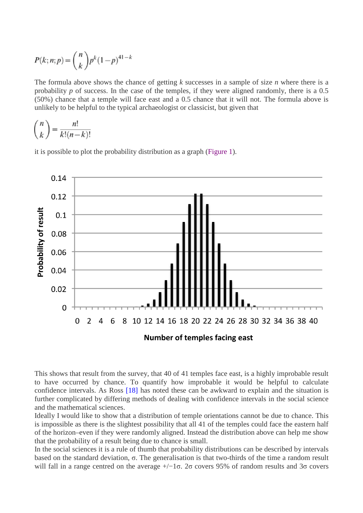$$
P(k; n; p) = {n \choose k} p^{k} (1-p)^{41-k}
$$

The formula above shows the chance of getting *k* successes in a sample of size *n* where there is a probability *p* of success. In the case of the temples, if they were aligned randomly, there is a 0.5 (50%) chance that a temple will face east and a 0.5 chance that it will not. The formula above is unlikely to be helpful to the typical archaeologist or classicist, but given that

$$
\binom{n}{k} = \frac{n!}{k!(n-k)!}
$$

it is possible to plot the probability distribution as a graph (Figure 1).



This shows that result from the survey, that 40 of 41 temples face east, is a highly improbable result to have occurred by chance. To quantify how improbable it would be helpful to calculate confidence intervals. As Ross [18] has noted these can be awkward to explain and the situation is further complicated by differing methods of dealing with confidence intervals in the social science and the mathematical sciences.

Ideally I would like to show that a distribution of temple orientations cannot be due to chance. This is impossible as there is the slightest possibility that all 41 of the temples could face the eastern half of the horizon–even if they were randomly aligned. Instead the distribution above can help me show that the probability of a result being due to chance is small.

In the social sciences it is a rule of thumb that probability distributions can be described by intervals based on the standard deviation, σ. The generalisation is that two-thirds of the time a random result will fall in a range centred on the average  $+/-1\sigma$ . 2σ covers 95% of random results and 3σ covers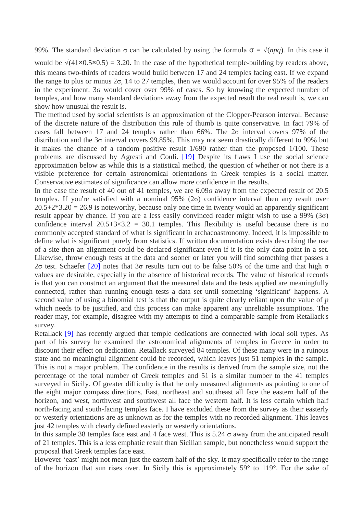99%. The standard deviation  $\sigma$  can be calculated by using the formula  $\sigma = \sqrt{(npq)}$ . In this case it

would be  $\sqrt{(41 \times 0.5 \times 0.5)}$  = 3.20. In the case of the hypothetical temple-building by readers above, this means two-thirds of readers would build between 17 and 24 temples facing east. If we expand the range to plus or minus 2σ, 14 to 27 temples, then we would account for over 95% of the readers in the experiment. 3σ would cover over 99% of cases. So by knowing the expected number of temples, and how many standard deviations away from the expected result the real result is, we can show how unusual the result is.

The method used by social scientists is an approximation of the Clopper-Pearson interval. Because of the discrete nature of the distribution this rule of thumb is quite conservative. In fact 79% of cases fall between 17 and 24 temples rather than  $66\%$ . The  $2\sigma$  interval covers 97% of the distribution and the 3σ interval covers 99.85%. This may not seem drastically different to 99% but it makes the chance of a random positive result 1/690 rather than the proposed 1/100. These problems are discussed by Agresti and Couli. [19] Despite its flaws I use the social science approximation below as while this is a statistical method, the question of whether or not there is a visible preference for certain astronomical orientations in Greek temples is a social matter. Conservative estimates of significance can allow more confidence in the results.

In the case the result of 40 out of 41 temples, we are 6.09σ away from the expected result of 20.5 temples. If you're satisfied with a nominal  $95\%$  ( $2\sigma$ ) confidence interval then any result over  $20.5+2*3.20 = 26.9$  is noteworthy, because only one time in twenty would an apparently significant result appear by chance. If you are a less easily convinced reader might wish to use a 99% (3 $\sigma$ ) confidence interval  $20.5+3\times3.2 = 30.1$  temples. This flexibility is useful because there is no commonly accepted standard of what is significant in archaeoastronomy. Indeed, it is impossible to define what is significant purely from statistics. If written documentation exists describing the use of a site then an alignment could be declared significant even if it is the only data point in a set. Likewise, throw enough tests at the data and sooner or later you will find something that passes a 2σ test. Schaefer [20] notes that  $3\sigma$  results turn out to be false 50% of the time and that high σ values are desirable, especially in the absence of historical records. The value of historical records is that you can construct an argument that the measured data and the tests applied are meaningfully connected, rather than running enough tests a data set until something 'significant' happens. A second value of using a binomial test is that the output is quite clearly reliant upon the value of *p* which needs to be justified, and this process can make apparent any unreliable assumptions. The reader may, for example, disagree with my attempts to find a comparable sample from Retallack's survey.

Retallack [9] has recently argued that temple dedications are connected with local soil types. As part of his survey he examined the astronomical alignments of temples in Greece in order to discount their effect on dedication. Retallack surveyed 84 temples. Of these many were in a ruinous state and no meaningful alignment could be recorded, which leaves just 51 temples in the sample. This is not a major problem. The confidence in the results is derived from the sample size, not the percentage of the total number of Greek temples and 51 is a similar number to the 41 temples surveyed in Sicily. Of greater difficulty is that he only measured alignments as pointing to one of the eight major compass directions. East, northeast and southeast all face the eastern half of the horizon, and west, northwest and southwest all face the western half. It is less certain which half north-facing and south-facing temples face. I have excluded these from the survey as their easterly or westerly orientations are as unknown as for the temples with no recorded alignment. This leaves just 42 temples with clearly defined easterly or westerly orientations.

In this sample 38 temples face east and 4 face west. This is  $5.24 \sigma$  away from the anticipated result of 21 temples. This is a less emphatic result than Sicilian sample, but nonetheless would support the proposal that Greek temples face east.

However 'east' might not mean just the eastern half of the sky. It may specifically refer to the range of the horizon that sun rises over. In Sicily this is approximately 59° to 119°. For the sake of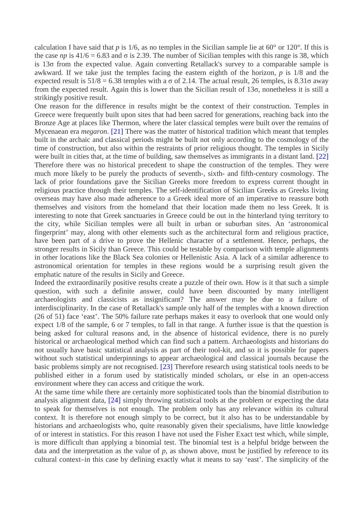calculation I have said that *p* is 1/6, as no temples in the Sicilian sample lie at  $60^{\circ}$  or 120°. If this is the case *np* is  $41/6 = 6.83$  and  $\sigma$  is 2.39. The number of Sicilian temples with this range is 38, which is 13σ from the expected value. Again converting Retallack's survey to a comparable sample is awkward. If we take just the temples facing the eastern eighth of the horizon, *p* is 1/8 and the expected result is  $51/8 = 6.38$  temples with a  $\sigma$  of 2.14. The actual result, 26 temples, is 8.31 $\sigma$  away from the expected result. Again this is lower than the Sicilian result of 13σ, nonetheless it is still a strikingly positive result.

One reason for the difference in results might be the context of their construction. Temples in Greece were frequently built upon sites that had been sacred for generations, reaching back into the Bronze Age at places like Thermon, where the later classical temples were built over the remains of Mycenaean era *megaron*. [21] There was the matter of historical tradition which meant that temples built in the archaic and classical periods might be built not only according to the cosmology of the time of construction, but also within the restraints of prior religious thought. The temples in Sicily were built in cities that, at the time of building, saw themselves as immigrants in a distant land. [22] Therefore there was no historical precedent to shape the construction of the temples. They were much more likely to be purely the products of seventh-, sixth- and fifth-century cosmology. The lack of prior foundations gave the Sicilian Greeks more freedom to express current thought in religious practice through their temples. The self-identification of Sicilian Greeks as Greeks living overseas may have also made adherence to a Greek ideal more of an imperative to reassure both themselves and visitors from the homeland that their location made them no less Greek. It is interesting to note that Greek sanctuaries in Greece could be out in the hinterland tying territory to the city, while Sicilian temples were all built in urban or suburban sites. An 'astronomical fingerprint' may, along with other elements such as the architectural form and religious practice, have been part of a drive to prove the Hellenic character of a settlement. Hence, perhaps, the stronger results in Sicily than Greece. This could be testable by comparison with temple alignments in other locations like the Black Sea colonies or Hellenistic Asia. A lack of a similar adherence to astronomical orientation for temples in these regions would be a surprising result given the emphatic nature of the results in Sicily and Greece.

Indeed the extraordinarily positive results create a puzzle of their own. How is it that such a simple question, with such a definite answer, could have been discounted by many intelligent archaeologists and classicists as insignificant? The answer may be due to a failure of interdisciplinarity. In the case of Retallack's sample only half of the temples with a known direction (26 of 51) face 'east'. The 50% failure rate perhaps makes it easy to overlook that one would only expect 1/8 of the sample, 6 or 7 temples, to fall in that range. A further issue is that the question is being asked for cultural reasons and, in the absence of historical evidence, there is no purely historical or archaeological method which can find such a pattern. Archaeologists and historians do not usually have basic statistical analysis as part of their tool-kit, and so it is possible for papers without such statistical underpinnings to appear archaeological and classical journals because the basic problems simply are not recognised. [23] Therefore research using statistical tools needs to be published either in a forum used by statistically minded scholars, or else in an open-access environment where they can access and critique the work.

At the same time while there are certainly more sophisticated tools than the binomial distribution to analysis alignment data, [24] simply throwing statistical tools at the problem or expecting the data to speak for themselves is not enough. The problem only has any relevance within its cultural context. It is therefore not enough simply to be correct, but it also has to be understandable by historians and archaeologists who, quite reasonably given their specialisms, have little knowledge of or interest in statistics. For this reason I have not used the Fisher Exact test which, while simple, is more difficult than applying a binomial test. The binomial test is a helpful bridge between the data and the interpretation as the value of *p*, as shown above, must be justified by reference to its cultural context–in this case by defining exactly what it means to say 'east'. The simplicity of the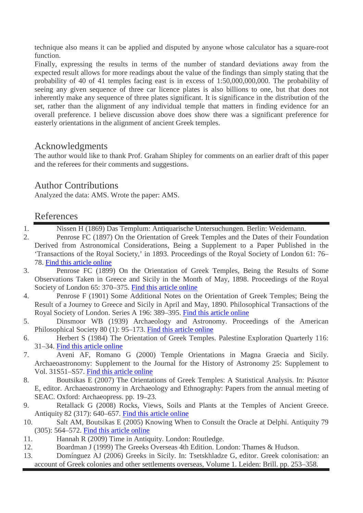technique also means it can be applied and disputed by anyone whose calculator has a square-root function.

Finally, expressing the results in terms of the number of standard deviations away from the expected result allows for more readings about the value of the findings than simply stating that the probability of 40 of 41 temples facing east is in excess of 1:50,000,000,000. The probability of seeing any given sequence of three car licence plates is also billions to one, but that does not inherently make any sequence of three plates significant. It is significance in the distribution of the set, rather than the alignment of any individual temple that matters in finding evidence for an overall preference. I believe discussion above does show there was a significant preference for easterly orientations in the alignment of ancient Greek temples.

# Acknowledgments

The author would like to thank Prof. Graham Shipley for comments on an earlier draft of this paper and the referees for their comments and suggestions.

# Author Contributions

Analyzed the data: AMS. Wrote the paper: AMS.

## References

- 1. Nissen H (1869) Das Templum: Antiquarische Untersuchungen. Berlin: Weidemann.
- 2. Penrose FC (1897) On the Orientation of Greek Temples and the Dates of their Foundation Derived from Astronomical Considerations, Being a Supplement to a Paper Published in the 'Transactions of the Royal Society,' in 1893. Proceedings of the Royal Society of London 61: 76– 78. Find this article online
- 3. Penrose FC (1899) On the Orientation of Greek Temples, Being the Results of Some Observations Taken in Greece and Sicily in the Month of May, 1898. Proceedings of the Royal Society of London 65: 370–375. Find this article online
- 4. Penrose F (1901) Some Additional Notes on the Orientation of Greek Temples; Being the Result of a Journey to Greece and Sicily in April and May, 1890. Philosophical Transactions of the Royal Society of London. Series A 196: 389–395. Find this article online
- 5. Dinsmoor WB (1939) Archaeology and Astronomy. Proceedings of the American Philosophical Society 80 (1): 95–173. Find this article online
- 6. Herbert S (1984) The Orientation of Greek Temples. Palestine Exploration Quarterly 116: 31–34. Find this article online
- 7. Aveni AF, Romano G (2000) Temple Orientations in Magna Graecia and Sicily. Archaeoastronomy: Supplement to the Journal for the History of Astronomy 25: Supplement to Vol. 31S51–S57. Find this article online
- 8. Boutsikas E (2007) The Orientations of Greek Temples: A Statistical Analysis. In: Pásztor E, editor. Archaeoastronomy in Archaeology and Ethnography: Papers from the annual meeting of SEAC. Oxford: Archaeopress. pp. 19–23.
- 9. Retallack G (2008) Rocks, Views, Soils and Plants at the Temples of Ancient Greece. Antiquity 82 (317): 640–657. Find this article online
- 10. Salt AM, Boutsikas E (2005) Knowing When to Consult the Oracle at Delphi. Antiquity 79 (305): 564–572. Find this article online
- 11. Hannah R (2009) Time in Antiquity. London: Routledge.
- 12. Boardman J (1999) The Greeks Overseas 4th Edition. London: Thames & Hudson.
- 13. Domínguez AJ (2006) Greeks in Sicily. In: Tsetskhladze G, editor. Greek colonisation: an account of Greek colonies and other settlements overseas, Volume 1. Leiden: Brill. pp. 253–358.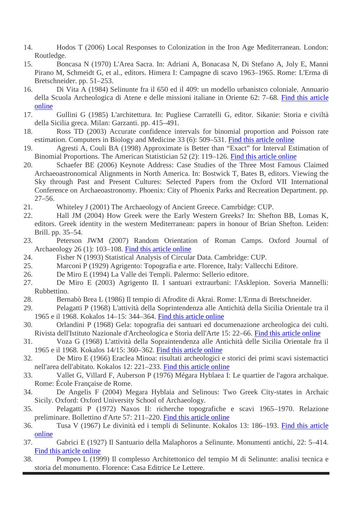- 14. Hodos T (2006) Local Responses to Colonization in the Iron Age Mediterranean. London: Routledge.
- 15. Boncasa N (1970) L'Area Sacra. In: Adriani A, Bonacasa N, Di Stefano A, Joly E, Manni Pirano M, Schmeidt G, et al., editors. Himera I: Campagne di scavo 1963–1965. Rome: L'Erma di Bretschneider. pp. 51–253.
- 16. Di Vita A (1984) Selinunte fra il 650 ed il 409: un modello urbanistco coloniale. Annuario della Scuola Archeologica di Atene e delle missioni italiane in Oriente 62: 7–68. Find this article online
- 17. Gullini G (1985) L'architettura. In: Pugliese Carratelli G, editor. Sikanie: Storia e civiltà della Sicilia greca. Milan: Garzanti. pp. 415–491.
- 18. Ross TD (2003) Accurate confidence intervals for binomial proportion and Poisson rate estimation. Computers in Biology and Medicine 33 (6): 509–531. Find this article online
- 19. Agresti A, Couli BA (1998) Approximate is Better than "Exact" for Interval Estimation of Binomial Proportions. The American Statistician 52 (2): 119–126. Find this article online
- 20. Schaefer BE (2006) Keynote Address: Case Studies of the Three Most Famous Claimed Archaeoastronomical Alignments in North America. In: Bostwick T, Bates B, editors. Viewing the Sky through Past and Present Cultures: Selected Papers from the Oxford VII International Conference on Archaeoastronomy. Phoenix: City of Phoenix Parks and Recreation Department. pp. 27–56.
- 21. Whiteley J (2001) The Archaeology of Ancient Greece. Camrbidge: CUP.
- 22. Hall JM (2004) How Greek were the Early Western Greeks? In: Shefton BB, Lomas K, editors. Greek identity in the western Mediterranean: papers in honour of Brian Shefton. Leiden: Brill. pp. 35–54.
- 23. Peterson JWM (2007) Random Orientation of Roman Camps. Oxford Journal of Archaeology 26 (1): 103–108. Find this article online
- 24. Fisher N (1993) Statistical Analysis of Circular Data. Cambridge: CUP.
- 25. Marconi P (1929) Agrigento: Topografia e arte. Florence, Italy: Vallecchi Editore.
- 26. De Miro E (1994) La Valle dei Templi. Palermo: Sellerio editore.
- 27. De Miro E (2003) Agrigento II. I santuari extraurbani: l'Asklepion. Soveria Mannelli: Rubbettino.
- 28. Bernabò Brea L (1986) Il tempio di Afrodite di Akrai. Rome: L'Erma di Bretschneider.
- 29. Pelagatti P (1968) L'attività della Soprintendenza alle Antichità della Sicilia Orientale tra il 1965 e il 1968. Kokalos 14–15: 344–364. Find this article online
- 30. Orlandini P (1968) Gela: topografia dei santuari ed documenazione archeologica dei culti. Rivista dell'Istituto Nazionale d'Archeologica e Storia dell'Arte 15: 22–66. Find this article online
- 31. Voza G (1968) L'attività della Sopraintendenza alle Antichità delle Sicilia Orientale fra il 1965 e il 1968. Kokalos 14/15: 360–362. Find this article online
- 32. De Miro E (1966) Eraclea Minoa: risultati archeologici e storici dei primi scavi sistemactici nell'area dell'abitato. Kokalos 12: 221–233. Find this article online
- 33. Vallet G, Villard F, Auberson P (1976) Mégara Hyblaea I: Le quartier de l'agora archaïque. Rome: École Française de Rome.
- 34. De Angelis F (2004) Megara Hyblaia and Selinous: Two Greek City-states in Archaic Sicily. Oxford: Oxford University School of Archaeology.
- 35. Pelagatti P (1972) Naxos II: richerche topografiche e scavi 1965–1970. Relazione preliminare. Bollettino d'Arte 57: 211–220. Find this article online
- 36. Tusa V (1967) Le divinità ed i templi di Selinunte. Kokalos 13: 186–193. Find this article online
- 37. Gabrici E (1927) Il Santuario della Malaphoros a Selinunte. Monumenti antichi, 22: 5–414. Find this article online
- 38. Pompeo L (1999) Il complesso Architettonico del tempio M di Selinunte: analisi tecnica e storia del monumento. Florence: Casa Editrice Le Lettere.